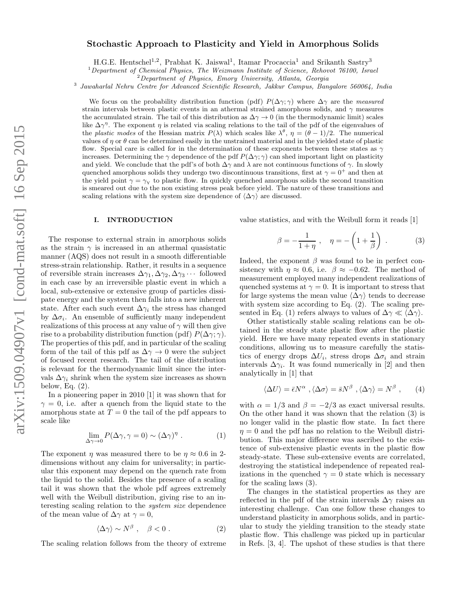# Stochastic Approach to Plasticity and Yield in Amorphous Solids

H.G.E. Hentschel<sup>1,2</sup>, Prabhat K. Jaiswal<sup>1</sup>, Itamar Procaccia<sup>1</sup> and Srikanth Sastry<sup>3</sup>

<sup>1</sup>Department of Chemical Physics, The Weizmann Institute of Science, Rehovot 76100, Israel

<sup>3</sup> Jawaharlal Nehru Centre for Advanced Scientific Research, Jakkur Campus, Bangalore 560064, India

We focus on the probability distribution function (pdf)  $P(\Delta\gamma;\gamma)$  where  $\Delta\gamma$  are the measured strain intervals between plastic events in an athermal strained amorphous solids, and  $\gamma$  measures the accumulated strain. The tail of this distribution as  $\Delta \gamma \to 0$  (in the thermodynamic limit) scales like  $\Delta \gamma^{\eta}$ . The exponent  $\eta$  is related via scaling relations to the tail of the pdf of the eigenvalues of the plastic modes of the Hessian matrix  $P(\lambda)$  which scales like  $\lambda^{\theta}$ ,  $\eta = (\theta - 1)/2$ . The numerical values of  $\eta$  or  $\theta$  can be determined easily in the unstrained material and in the yielded state of plastic flow. Special care is called for in the determination of these exponents between these states as  $\gamma$ increases. Determining the  $\gamma$  dependence of the pdf  $P(\Delta\gamma;\gamma)$  can shed important light on plasticity and yield. We conclude that the pdf's of both  $\Delta\gamma$  and  $\lambda$  are not continuous functions of  $\gamma$ . In slowly quenched amorphous solids they undergo two discontinuous transitions, first at  $\gamma = 0^+$  and then at the yield point  $\gamma = \gamma_Y$  to plastic flow. In quickly quenched amorphous solids the second transition is smeared out due to the non existing stress peak before yield. The nature of these transitions and scaling relations with the system size dependence of  $\langle \Delta \gamma \rangle$  are discussed.

#### I. INTRODUCTION

The response to external strain in amorphous solids as the strain  $\gamma$  is increased in an athermal quasistatic manner (AQS) does not result in a smooth differentiable stress-strain relationship. Rather, it results in a sequence of reversible strain increases  $\Delta\gamma_1, \Delta\gamma_2, \Delta\gamma_3 \cdots$  followed in each case by an irreversible plastic event in which a local, sub-extensive or extensive group of particles dissipate energy and the system then falls into a new inherent state. After each such event  $\Delta\gamma_i$  the stress has changed by  $\Delta \sigma_i$ . An ensemble of sufficiently many independent realizations of this process at any value of  $\gamma$  will then give rise to a probability distribution function (pdf)  $P(\Delta \gamma;\gamma)$ . The properties of this pdf, and in particular of the scaling form of the tail of this pdf as  $\Delta \gamma \to 0$  were the subject of focused recent research. The tail of the distribution is relevant for the thermodynamic limit since the intervals  $\Delta\gamma_i$  shrink when the system size increases as shown below, Eq. (2).

In a pioneering paper in 2010 [1] it was shown that for  $\gamma = 0$ , i.e. after a quench from the liquid state to the amorphous state at  $T = 0$  the tail of the pdf appears to scale like

$$
\lim_{\Delta \gamma \to 0} P(\Delta \gamma, \gamma = 0) \sim (\Delta \gamma)^{\eta} . \tag{1}
$$

The exponent  $\eta$  was measured there to be  $\eta \approx 0.6$  in 2dimensions without any claim for universality; in particular this exponent may depend on the quench rate from the liquid to the solid. Besides the presence of a scaling tail it was shown that the whole pdf agrees extremely well with the Weibull distribution, giving rise to an interesting scaling relation to the system size dependence of the mean value of  $\Delta \gamma$  at  $\gamma = 0$ ,

$$
\langle \Delta \gamma \rangle \sim N^{\beta} \;, \quad \beta < 0 \;. \tag{2}
$$

The scaling relation follows from the theory of extreme

value statistics, and with the Weibull form it reads [1]

$$
\beta = -\frac{1}{1+\eta}, \quad \eta = -\left(1 + \frac{1}{\beta}\right)
$$
 (3)

Indeed, the exponent  $\beta$  was found to be in perfect consistency with  $\eta \approx 0.6$ , i.e.  $\beta \approx -0.62$ . The method of measurement employed many independent realizations of quenched systems at  $\gamma = 0$ . It is important to stress that for large systems the mean value  $\langle \Delta \gamma \rangle$  tends to decrease with system size according to Eq. (2). The scaling presented in Eq. (1) refers always to values of  $\Delta \gamma \ll \langle \Delta \gamma \rangle$ .

Other statistically stable scaling relations can be obtained in the steady state plastic flow after the plastic yield. Here we have many repeated events in stationary conditions, allowing us to measure carefully the statistics of energy drops  $\Delta U_i$ , stress drops  $\Delta \sigma_i$  and strain intervals  $\Delta \gamma_i$ . It was found numerically in [2] and then analytically in [1] that

$$
\langle \Delta U \rangle = \bar{\epsilon} N^{\alpha} , \langle \Delta \sigma \rangle = \bar{s} N^{\beta} , \langle \Delta \gamma \rangle = N^{\beta} , \qquad (4)
$$

with  $\alpha = 1/3$  and  $\beta = -2/3$  as exact universal results. On the other hand it was shown that the relation (3) is no longer valid in the plastic flow state. In fact there  $\eta = 0$  and the pdf has no relation to the Weibull distribution. This major difference was ascribed to the existence of sub-extensive plastic events in the plastic flow steady-state. These sub-extensive events are correlated, destroying the statistical independence of repeated realizations in the quenched  $\gamma = 0$  state which is necessary for the scaling laws (3).

The changes in the statistical properties as they are reflected in the pdf of the strain intervals  $\Delta \gamma$  raises an interesting challenge. Can one follow these changes to understand plasticity in amorphous solids, and in particular to study the yielding transition to the steady state plastic flow. This challenge was picked up in particular in Refs. [3, 4]. The upshot of these studies is that there

<sup>2</sup>Department of Physics, Emory University, Atlanta, Georgia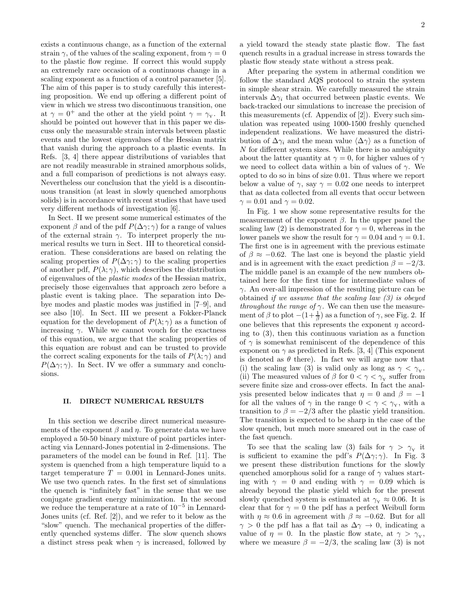exists a continuous change, as a function of the external strain  $\gamma$ , of the values of the scaling exponent, from  $\gamma = 0$ to the plastic flow regime. If correct this would supply an extremely rare occasion of a continuous change in a scaling exponent as a function of a control parameter [5]. The aim of this paper is to study carefully this interesting proposition. We end up offering a different point of view in which we stress two discontinuous transition, one at  $\gamma = 0^+$  and the other at the yield point  $\gamma = \gamma_{\rm y}$ . It should be pointed out however that in this paper we discuss only the measurable strain intervals between plastic events and the lowest eigenvalues of the Hessian matrix that vanish during the approach to a plastic events. In Refs. [3, 4] there appear distributions of variables that are not readily measurable in strained amorphous solids, and a full comparison of predictions is not always easy. Nevertheless our conclusion that the yield is a discontinuous transition (at least in slowly quenched amorphous solids) is in accordance with recent studies that have used very different methods of investigation [6].

In Sect. II we present some numerical estimates of the exponent  $\beta$  and of the pdf  $P(\Delta\gamma;\gamma)$  for a range of values of the external strain  $\gamma$ . To interpret properly the numerical results we turn in Sect. III to theoretical consideration. These considerations are based on relating the scaling properties of  $P(\Delta\gamma;\gamma)$  to the scaling properties of another pdf,  $P(\lambda; \gamma)$ , which describes the distribution of eigenvalues of the plastic modes of the Hessian matrix, precisely those eigenvalues that approach zero before a plastic event is taking place. The separation into Debye modes and plastic modes was justified in [7–9], and see also [10]. In Sect. III we present a Fokker-Planck equation for the development of  $P(\lambda; \gamma)$  as a function of increasing  $\gamma$ . While we cannot vouch for the exactness of this equation, we argue that the scaling properties of this equation are robust and can be trusted to provide the correct scaling exponents for the tails of  $P(\lambda; \gamma)$  and  $P(\Delta\gamma;\gamma)$ . In Sect. IV we offer a summary and conclusions.

### II. DIRECT NUMERICAL RESULTS

In this section we describe direct numerical measurements of the exponent  $\beta$  and  $\eta$ . To generate data we have employed a 50-50 binary mixture of point particles interacting via Lennard-Jones potential in 2-dimensions. The parameters of the model can be found in Ref. [11]. The system is quenched from a high temperature liquid to a target temperature  $T = 0.001$  in Lennard-Jones units. We use two quench rates. In the first set of simulations the quench is "infinitely fast" in the sense that we use conjugate gradient energy minimization. In the second we reduce the temperature at a rate of 10−<sup>5</sup> in Lennard-Jones units (cf. Ref. [2]), and we refer to it below as the "slow" quench. The mechanical properties of the differently quenched systems differ. The slow quench shows a distinct stress peak when  $\gamma$  is increased, followed by

a yield toward the steady state plastic flow. The fast quench results in a gradual increase in stress towards the plastic flow steady state without a stress peak.

After preparing the system in athermal condition we follow the standard AQS protocol to strain the system in simple shear strain. We carefully measured the strain intervals  $\Delta\gamma_i$  that occurred between plastic events. We back-tracked our simulations to increase the precision of this measurements (cf. Appendix of [2]). Every such simulation was repeated using 1000-1500 freshly quenched independent realizations. We have measured the distribution of  $\Delta\gamma_i$  and the mean value  $\langle\Delta\gamma\rangle$  as a function of  $N$  for different system sizes. While there is no ambiguity about the latter quantity at  $\gamma = 0$ , for higher values of  $\gamma$ we need to collect data within a bin of values of  $\gamma$ . We opted to do so in bins of size 0.01. Thus where we report below a value of  $\gamma$ , say  $\gamma = 0.02$  one needs to interpret that as data collected from all events that occur between  $\gamma = 0.01$  and  $\gamma = 0.02$ .

In Fig. 1 we show some representative results for the measurement of the exponent  $\beta$ . In the upper panel the scaling law (2) is demonstrated for  $\gamma = 0$ , whereas in the lower panels we show the result for  $\gamma = 0.04$  and  $\gamma = 0.1$ . The first one is in agreement with the previous estimate of  $\beta \approx -0.62$ . The last one is beyond the plastic yield and is in agreement with the exact prediction  $\beta = -2/3$ . The middle panel is an example of the new numbers obtained here for the first time for intermediate values of  $\gamma$ . An over-all impression of the resulting picture can be obtained if we assume that the scaling law (3) is obeyed throughout the range of  $\gamma$ . We can then use the measurement of  $\beta$  to plot  $-(1+\frac{1}{\beta})$  as a function of  $\gamma$ , see Fig. 2. If one believes that this represents the exponent  $\eta$  according to (3), then this continuous variation as a function of  $\gamma$  is somewhat reminiscent of the dependence of this exponent on  $\gamma$  as predicted in Refs. [3, 4] (This exponent is denoted as  $\theta$  there). In fact we will argue now that (i) the scaling law (3) is valid only as long as  $\gamma < \gamma_{\rm Y}$ . (ii) The measured values of  $\beta$  for  $0 < \gamma < \gamma_{\rm Y}$  suffer from severe finite size and cross-over effects. In fact the analysis presented below indicates that  $\eta = 0$  and  $\beta = -1$ for all the values of  $\gamma$  in the range  $0 < \gamma < \gamma_{\rm y}$ , with a transition to  $\beta = -2/3$  after the plastic yield transition. The transition is expected to be sharp in the case of the slow quench, but much more smeared out in the case of the fast quench.

To see that the scaling law (3) fails for  $\gamma > \gamma_{\rm r}$  it is sufficient to examine the pdf's  $P(\Delta \gamma;\gamma)$ . In Fig. 3 we present these distribution functions for the slowly quenched amorphous solid for a range of  $\gamma$  values starting with  $\gamma = 0$  and ending with  $\gamma = 0.09$  which is already beyond the plastic yield which for the present slowly quenched system is estimated at  $\gamma_{\rm y} \approx 0.06$ . It is clear that for  $\gamma = 0$  the pdf has a perfect Weibull form with  $\eta \approx 0.6$  in agreement with  $\beta \approx -0.62$ . But for all  $\gamma > 0$  the pdf has a flat tail as  $\Delta \gamma \rightarrow 0$ , indicating a value of  $\eta = 0$ . In the plastic flow state, at  $\gamma > \gamma_{\rm y}$ , where we measure  $\beta = -2/3$ , the scaling law (3) is not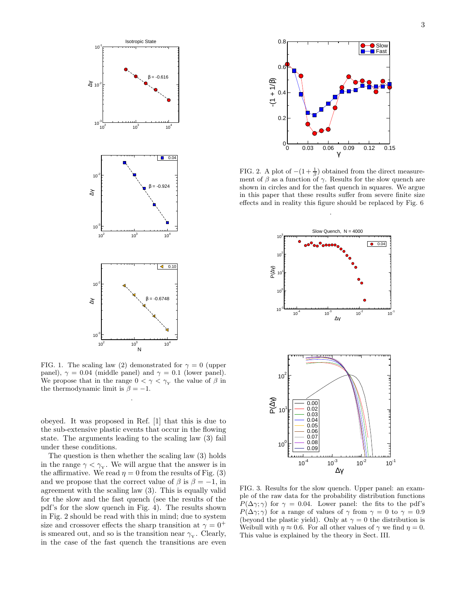

FIG. 1. The scaling law (2) demonstrated for  $\gamma = 0$  (upper panel),  $\gamma = 0.04$  (middle panel) and  $\gamma = 0.1$  (lower panel). We propose that in the range  $0 < \gamma < \gamma_Y$  the value of  $\beta$  in the thermodynamic limit is  $\beta = -1$ .

.

obeyed. It was proposed in Ref. [1] that this is due to the sub-extensive plastic events that occur in the flowing state. The arguments leading to the scaling law (3) fail under these conditions.

The question is then whether the scaling law (3) holds in the range  $\gamma < \gamma_{Y}$ . We will argue that the answer is in the affirmative. We read  $\eta = 0$  from the results of Fig. (3) and we propose that the correct value of  $\beta$  is  $\beta = -1$ , in agreement with the scaling law (3). This is equally valid for the slow and the fast quench (see the results of the pdf's for the slow quench in Fig. 4). The results shown in Fig. 2 should be read with this in mind; due to system size and crossover effects the sharp transition at  $\gamma = 0^+$ is smeared out, and so is the transition near  $\gamma_{\rm y}$ . Clearly, in the case of the fast quench the transitions are even



FIG. 2. A plot of  $-(1+\frac{1}{\beta})$  obtained from the direct measurement of  $\beta$  as a function of  $\gamma$ . Results for the slow quench are shown in circles and for the fast quench in squares. We argue in this paper that these results suffer from severe finite size effects and in reality this figure should be replaced by Fig. 6



FIG. 3. Results for the slow quench. Upper panel: an example of the raw data for the probability distribution functions  $P(\Delta\gamma;\gamma)$  for  $\gamma=0.04$ . Lower panel: the fits to the pdf's  $P(\Delta\gamma;\gamma)$  for a range of values of  $\gamma$  from  $\gamma=0$  to  $\gamma=0.9$ (beyond the plastic yield). Only at  $\gamma = 0$  the distribution is Weibull with  $\eta \approx 0.6$ . For all other values of  $\gamma$  we find  $\eta = 0$ . This value is explained by the theory in Sect. III.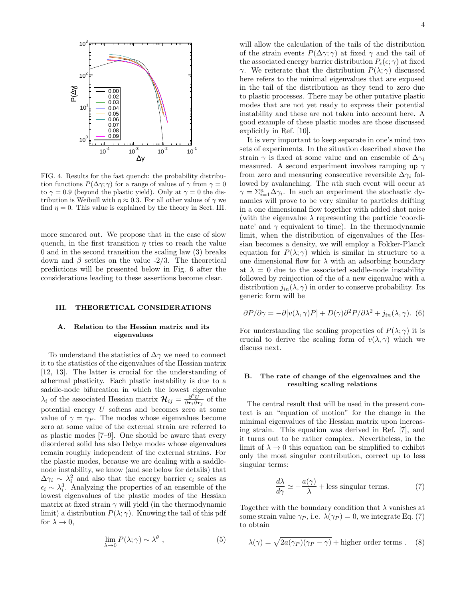

FIG. 4. Results for the fast quench: the probability distribution functions  $P(\Delta \gamma;\gamma)$  for a range of values of  $\gamma$  from  $\gamma=0$ to  $\gamma = 0.9$  (beyond the plastic yield). Only at  $\gamma = 0$  the distribution is Weibull with  $\eta \approx 0.3$ . For all other values of  $\gamma$  we find  $\eta = 0$ . This value is explained by the theory in Sect. III.

more smeared out. We propose that in the case of slow quench, in the first transition  $\eta$  tries to reach the value 0 and in the second transition the scaling law (3) breaks down and  $\beta$  settles on the value -2/3. The theoretical predictions will be presented below in Fig. 6 after the considerations leading to these assertions become clear.

## III. THEORETICAL CONSIDERATIONS

## A. Relation to the Hessian matrix and its eigenvalues

To understand the statistics of  $\Delta\gamma$  we need to connect it to the statistics of the eigenvalues of the Hessian matrix [12, 13]. The latter is crucial for the understanding of athermal plasticity. Each plastic instability is due to a saddle-node bifurcation in which the lowest eigenvalue  $\lambda_i$  of the associated Hessian matrix  $\mathcal{H}_{ij} = \frac{\partial^2 U}{\partial r_i \partial r_j}$  of the potential energy  $U$  softens and becomes zero at some value of  $\gamma = \gamma_P$ . The modes whose eigenvalues become zero at some value of the external strain are referred to as plastic modes [7–9]. One should be aware that every disordered solid has also Debye modes whose eigenvalues remain roughly independent of the external strains. For the plastic modes, because we are dealing with a saddlenode instability, we know (and see below for details) that  $\Delta \gamma_i \sim \lambda_i^2$  and also that the energy barrier  $\epsilon_i$  scales as  $\epsilon_i \sim \lambda_i^3$ . Analyzing the properties of an ensemble of the lowest eigenvalues of the plastic modes of the Hessian matrix at fixed strain  $\gamma$  will yield (in the thermodynamic limit) a distribution  $P(\lambda; \gamma)$ . Knowing the tail of this pdf for  $\lambda \to 0$ ,

$$
\lim_{\lambda \to 0} P(\lambda; \gamma) \sim \lambda^{\theta} , \qquad (5)
$$

will allow the calculation of the tails of the distribution of the strain events  $P(\Delta \gamma; \gamma)$  at fixed  $\gamma$  and the tail of the associated energy barrier distribution  $P_{\epsilon}(\epsilon; \gamma)$  at fixed γ. We reiterate that the distribution  $P(λ; γ)$  discussed here refers to the minimal eigenvalues that are exposed in the tail of the distribution as they tend to zero due to plastic processes. There may be other putative plastic modes that are not yet ready to express their potential instability and these are not taken into account here. A good example of these plastic modes are those discussed explicitly in Ref. [10].

It is very important to keep separate in one's mind two sets of experiments. In the situation described above the strain  $\gamma$  is fixed at some value and an ensemble of  $\Delta\gamma_i$ measured. A second experiment involves ramping up  $\gamma$ from zero and measuring consecutive reversible  $\Delta\gamma_i$  followed by avalanching. The nth such event will occur at  $\gamma = \sum_{i=1}^n \Delta \gamma_i$ . In such an experiment the stochastic dynamics will prove to be very similar to particles drifting in a one dimensional flow together with added shot noise (with the eigenvalue  $\lambda$  representing the particle 'coordinate' and  $\gamma$  equivalent to time). In the thermodynamic limit, when the distribution of eigenvalues of the Hessian becomes a density, we will employ a Fokker-Planck equation for  $P(\lambda; \gamma)$  which is similar in structure to a one dimensional flow for  $\lambda$  with an adsorbing boundary at  $\lambda = 0$  due to the associated saddle-node instability followed by reinjection of the of a new eigenvalue with a distribution  $j_{in}(\lambda, \gamma)$  in order to conserve probability. Its generic form will be

$$
\partial P/\partial \gamma = -\partial [v(\lambda, \gamma)P] + D(\gamma)\partial^2 P/\partial \lambda^2 + j_{in}(\lambda, \gamma).
$$
 (6)

For understanding the scaling properties of  $P(\lambda; \gamma)$  it is crucial to derive the scaling form of  $v(\lambda, \gamma)$  which we discuss next.

# B. The rate of change of the eigenvalues and the resulting scaling relations

The central result that will be used in the present context is an "equation of motion" for the change in the minimal eigenvalues of the Hessian matrix upon increasing strain. This equation was derived in Ref. [7], and it turns out to be rather complex. Nevertheless, in the limit of  $\lambda \to 0$  this equation can be simplified to exhibit only the most singular contribution, correct up to less singular terms:

$$
\frac{d\lambda}{d\gamma} \simeq -\frac{a(\gamma)}{\lambda} + \text{less singular terms.} \tag{7}
$$

Together with the boundary condition that  $\lambda$  vanishes at some strain value  $\gamma_P$ , i.e.  $\lambda(\gamma_P) = 0$ , we integrate Eq. (7) to obtain

$$
\lambda(\gamma) = \sqrt{2a(\gamma_P)(\gamma_P - \gamma)} + \text{higher order terms}. \tag{8}
$$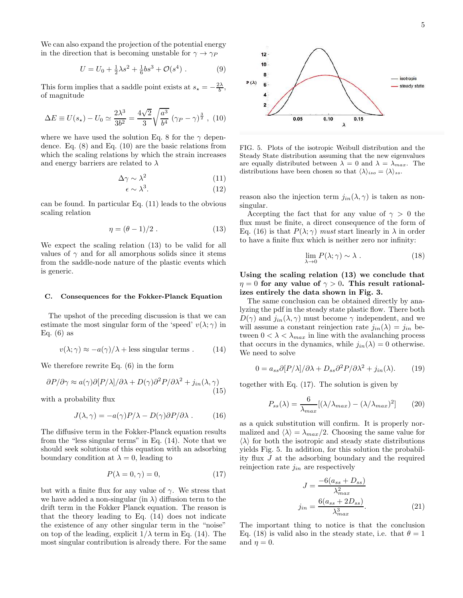We can also expand the projection of the potential energy in the direction that is becoming unstable for  $\gamma \rightarrow \gamma_P$ 

$$
U = U_0 + \frac{1}{2}\lambda s^2 + \frac{1}{6}bs^3 + \mathcal{O}(s^4) . \tag{9}
$$

This form implies that a saddle point exists at  $s_{\star} = -\frac{2\lambda}{b}$ , of magnitude

$$
\Delta E \equiv U(s_{\star}) - U_0 \simeq \frac{2\lambda^3}{3b^2} = \frac{4\sqrt{2}}{3} \sqrt{\frac{a^3}{b^4}} (\gamma_P - \gamma)^{\frac{3}{2}}, (10)
$$

where we have used the solution Eq. 8 for the  $\gamma$  dependence. Eq. (8) and Eq. (10) are the basic relations from which the scaling relations by which the strain increases and energy barriers are related to  $\lambda$ 

$$
\Delta \gamma \sim \lambda^2 \tag{11}
$$

$$
\epsilon \sim \lambda^3. \tag{12}
$$

can be found. In particular Eq. (11) leads to the obvious scaling relation

$$
\eta = (\theta - 1)/2 \tag{13}
$$

We expect the scaling relation (13) to be valid for all values of  $\gamma$  and for all amorphous solids since it stems from the saddle-node nature of the plastic events which is generic.

#### C. Consequences for the Fokker-Planck Equation

The upshot of the preceding discussion is that we can estimate the most singular form of the 'speed'  $v(\lambda; \gamma)$  in Eq.  $(6)$  as

$$
v(\lambda; \gamma) \approx -a(\gamma)/\lambda + \text{less singular terms} . \tag{14}
$$

We therefore rewrite Eq. (6) in the form

$$
\partial P/\partial \gamma \approx a(\gamma)\partial [P/\lambda]/\partial \lambda + D(\gamma)\partial^2 P/\partial \lambda^2 + j_{in}(\lambda, \gamma)
$$
\n(15)

with a probability flux

$$
J(\lambda, \gamma) = -a(\gamma)P/\lambda - D(\gamma)\partial P/\partial \lambda . \qquad (16)
$$

The diffusive term in the Fokker-Planck equation results from the "less singular terms" in Eq. (14). Note that we should seek solutions of this equation with an adsorbing boundary condition at  $\lambda = 0$ , leading to

$$
P(\lambda = 0, \gamma) = 0,\t(17)
$$

but with a finite flux for any value of  $\gamma$ . We stress that we have added a non-singular (in  $\lambda$ ) diffusion term to the drift term in the Fokker Planck equation. The reason is that the theory leading to Eq. (14) does not indicate the existence of any other singular term in the "noise" on top of the leading, explicit  $1/\lambda$  term in Eq. (14). The most singular contribution is already there. For the same



FIG. 5. Plots of the isotropic Weibull distribution and the Steady State distribution assuming that the new eigenvalues are equally distributed between  $\lambda = 0$  and  $\lambda = \lambda_{max}$ . The distributions have been chosen so that  $\langle \lambda \rangle_{iso} = \langle \lambda \rangle_{ss}$ .

reason also the injection term  $j_{in}(\lambda, \gamma)$  is taken as nonsingular.

Accepting the fact that for any value of  $\gamma > 0$  the flux must be finite, a direct consequence of the form of Eq. (16) is that  $P(\lambda; \gamma)$  must start linearly in  $\lambda$  in order to have a finite flux which is neither zero nor infinity:

$$
\lim_{\lambda \to 0} P(\lambda; \gamma) \sim \lambda . \tag{18}
$$

Using the scaling relation (13) we conclude that  $\eta = 0$  for any value of  $\gamma > 0$ . This result rationalizes entirely the data shown in Fig. 3.

The same conclusion can be obtained directly by analyzing the pdf in the steady state plastic flow. There both  $D(\gamma)$  and  $j_{in}(\lambda, \gamma)$  must become  $\gamma$  independent, and we will assume a constant reinjection rate  $j_{in}(\lambda) = j_{in}$  between  $0 < \lambda < \lambda_{max}$  in line with the avalanching process that occurs in the dynamics, while  $j_{in}(\lambda) = 0$  otherwise. We need to solve

$$
0 = a_{ss}\partial[P/\lambda]/\partial\lambda + D_{ss}\partial^2 P/\partial\lambda^2 + j_{in}(\lambda).
$$
 (19)

together with Eq. (17). The solution is given by

$$
P_{ss}(\lambda) = \frac{6}{\lambda_{max}} [(\lambda/\lambda_{max}) - (\lambda/\lambda_{max})^2]
$$
 (20)

as a quick substitution will confirm. It is properly normalized and  $\langle \lambda \rangle = \lambda_{max}/2$ . Choosing the same value for  $\langle \lambda \rangle$  for both the isotropic and steady state distributions yields Fig. 5. In addition, for this solution the probability flux J at the adsorbing boundary and the required reinjection rate  $j_{in}$  are respectively

$$
J = \frac{-6(a_{ss} + D_{ss})}{\lambda_{max}^2}
$$

$$
j_{in} = \frac{6(a_{ss} + 2D_{ss})}{\lambda_{max}^3}.
$$
 (21)

The important thing to notice is that the conclusion Eq. (18) is valid also in the steady state, i.e. that  $\theta = 1$ and  $\eta = 0$ .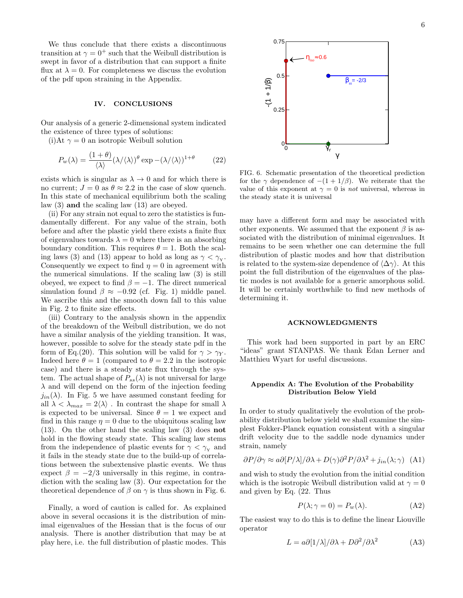We thus conclude that there exists a discontinuous transition at  $\gamma = 0^+$  such that the Weibull distribution is swept in favor of a distribution that can support a finite flux at  $\lambda = 0$ . For completeness we discuss the evolution of the pdf upon straining in the Appendix.

## IV. CONCLUSIONS

Our analysis of a generic 2-dimensional system indicated the existence of three types of solutions:

(i)At  $\gamma = 0$  an isotropic Weibull solution

$$
P_w(\lambda) = \frac{(1+\theta)}{\langle \lambda \rangle} (\lambda/\langle \lambda \rangle)^\theta \exp - (\lambda/\langle \lambda \rangle)^{1+\theta} \tag{22}
$$

exists which is singular as  $\lambda \to 0$  and for which there is no current;  $J = 0$  as  $\theta \approx 2.2$  in the case of slow quench. In this state of mechanical equilibrium both the scaling law (3) and the scaling law (13) are obeyed.

(ii) For any strain not equal to zero the statistics is fundamentally different. For any value of the strain, both before and after the plastic yield there exists a finite flux of eigenvalues towards  $\lambda = 0$  where there is an absorbing boundary condition. This requires  $\theta = 1$ . Both the scaling laws (3) and (13) appear to hold as long as  $\gamma < \gamma_{Y}$ . Consequently we expect to find  $\eta = 0$  in agreement with the numerical simulations. If the scaling law (3) is still obeyed, we expect to find  $\beta = -1$ . The direct numerical simulation found  $\beta \approx -0.92$  (cf. Fig. 1) middle panel. We ascribe this and the smooth down fall to this value in Fig. 2 to finite size effects.

(iii) Contrary to the analysis shown in the appendix of the breakdown of the Weibull distribution, we do not have a similar analysis of the yielding transition. It was, however, possible to solve for the steady state pdf in the form of Eq.(20). This solution will be valid for  $\gamma > \gamma_Y$ . Indeed here  $\theta = 1$  (compared to  $\theta = 2.2$  in the isotropic case) and there is a steady state flux through the system. The actual shape of  $P_{ss}(\lambda)$  is not universal for large  $\lambda$  and will depend on the form of the injection feeding  $j_{in}(\lambda)$ . In Fig. 5 we have assumed constant feeding for all  $\lambda < \lambda_{max} = 2\langle \lambda \rangle$ . In contrast the shape for small  $\lambda$ is expected to be universal. Since  $\theta = 1$  we expect and find in this range  $\eta = 0$  due to the ubiquitous scaling law (13). On the other hand the scaling law (3) does not hold in the flowing steady state. This scaling law stems from the independence of plastic events for  $\gamma < \gamma_{\rm Y}$  and it fails in the steady state due to the build-up of correlations between the subextensive plastic events. We thus expect  $\beta = -2/3$  universally in this regime, in contradiction with the scaling law (3). Our expectation for the theoretical dependence of  $\beta$  on  $\gamma$  is thus shown in Fig. 6.

Finally, a word of caution is called for. As explained above in several occasions it is the distribution of minimal eigenvalues of the Hessian that is the focus of our analysis. There is another distribution that may be at play here, i.e. the full distribution of plastic modes. This



FIG. 6. Schematic presentation of the theoretical prediction for the  $\gamma$  dependence of  $-(1+1/\beta)$ . We reiterate that the value of this exponent at  $\gamma = 0$  is *not* universal, whereas in the steady state it is universal

may have a different form and may be associated with other exponents. We assumed that the exponent  $\beta$  is associated with the distribution of minimal eigenvalues. It remains to be seen whether one can determine the full distribution of plastic modes and how that distribution is related to the system-size dependence of  $\langle \Delta \gamma \rangle$ . At this point the full distribution of the eigenvalues of the plastic modes is not available for a generic amorphous solid. It will be certainly worthwhile to find new methods of determining it.

## ACKNOWLEDGMENTS

This work had been supported in part by an ERC "ideas" grant STANPAS. We thank Edan Lerner and Matthieu Wyart for useful discussions.

#### Appendix A: The Evolution of the Probability Distribution Below Yield

In order to study qualitatively the evolution of the probability distribution below yield we shall examine the simplest Fokker-Planck equation consistent with a singular drift velocity due to the saddle node dynamics under strain, namely

$$
\partial P/\partial \gamma \approx a \partial [P/\lambda]/\partial \lambda + D(\gamma) \partial^2 P/\partial \lambda^2 + j_{in}(\lambda; \gamma)
$$
 (A1)

and wish to study the evolution from the initial condition which is the isotropic Weibull distribution valid at  $\gamma = 0$ and given by Eq. (22. Thus

$$
P(\lambda; \gamma = 0) = P_w(\lambda). \tag{A2}
$$

The easiest way to do this is to define the linear Liouville operator

$$
L = a\partial [1/\lambda]/\partial \lambda + D\partial^2/\partial \lambda^2
$$
 (A3)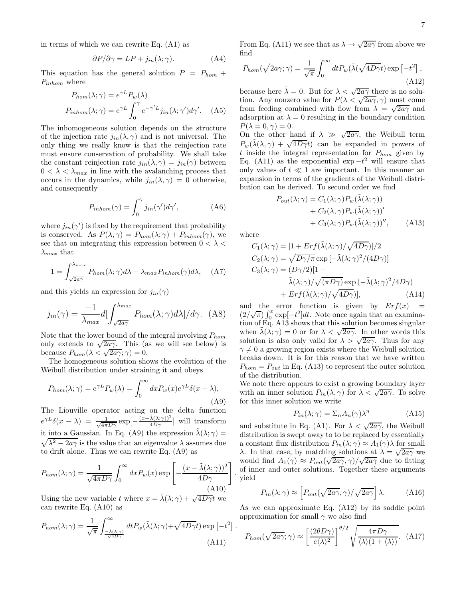in terms of which we can rewrite Eq.  $(A1)$  as

$$
\partial P/\partial \gamma = LP + j_{in}(\lambda; \gamma).
$$
 (A4)

This equation has the general solution  $P = P_{hom} +$  $P_{inhom}$  where

$$
P_{hom}(\lambda; \gamma) = e^{\gamma L} P_w(\lambda)
$$
  

$$
P_{inhom}(\lambda; \gamma) = e^{\gamma L} \int_0^{\gamma} e^{-\gamma' L} j_{in}(\lambda; \gamma') d\gamma'.
$$
 (A5)

The inhomogeneous solution depends on the structure of the injection rate  $j_{in}(\lambda, \gamma)$  and is not universal. The only thing we really know is that the reinjection rate must ensure conservation of probability. We shall take the constant reinjection rate  $j_{in}(\lambda, \gamma) = j_{in}(\gamma)$  between  $0 < \lambda < \lambda_{max}$  in line with the avalanching process that occurs in the dynamics, while  $j_{in}(\lambda, \gamma) = 0$  otherwise, and consequently

$$
P_{inhom}(\gamma) = \int_0^\gamma j_{in}(\gamma')d\gamma',\tag{A6}
$$

where  $j_{in}(\gamma')$  is fixed by the requirement that probability is conserved. As  $P(\lambda, \gamma) = P_{hom}(\lambda; \gamma) + P_{inhom}(\gamma)$ , we see that on integrating this expression between  $0 < \lambda <$  $\lambda_{max}$  that

$$
1 = \int_{\sqrt{2a\gamma}}^{\lambda_{max}} P_{hom}(\lambda; \gamma) d\lambda + \lambda_{max} P_{inhom}(\gamma) d\lambda, \quad (A7)
$$

and this yields an expression for  $j_{in}(\gamma)$ 

$$
j_{in}(\gamma) = \frac{-1}{\lambda_{max}} d \left[ \int_{\sqrt{2a\gamma}}^{\lambda_{max}} P_{hom}(\lambda; \gamma) d\lambda \right] / d\gamma. \tag{A8}
$$

Note that the lower bound of the integral involving  $P_{hom}$ only extends to  $\sqrt{2a\gamma}$ . This (as we will see below) is because  $P_{hom}(\lambda < \sqrt{2a\gamma}; \gamma) = 0$ .

The homogeneous solution shows the evolution of the Weibull distribution under straining it and obeys

$$
P_{hom}(\lambda; \gamma) = e^{\gamma L} P_w(\lambda) = \int_0^\infty dx P_w(x) e^{\gamma L} \delta(x - \lambda),
$$
\n(A9)

The Liouville operator acting on the delta function  $e^{\gamma L}\delta(x-\lambda) = \frac{1}{\sqrt{4\pi D\gamma}}\exp[-\frac{(x-\tilde{\lambda}(\lambda;\gamma))^2}{4D\gamma}]$  will transform it into a Gaussian. In Eq. (A9) the expression  $\tilde{\lambda}(\lambda;\gamma) =$  $\sqrt{\lambda^2 - 2a\gamma}$  is the value that an eigenvalue  $\lambda$  assumes due to drift alone. Thus we can rewrite Eq. (A9) as

$$
P_{hom}(\lambda; \gamma) = \frac{1}{\sqrt{4\pi D\gamma}} \int_0^\infty dx P_w(x) \exp\left[-\frac{(x - \tilde{\lambda}(\lambda; \gamma))^2}{4D\gamma}\right]
$$
\n(A10)

Using the new variable t where  $x = \tilde{\lambda}(\lambda; \gamma) + \sqrt{4D\gamma}t$  we can rewrite Eq. (A10) as

$$
P_{hom}(\lambda;\gamma) = \frac{1}{\sqrt{\pi}} \int_{\frac{-\tilde{\lambda}(\lambda;\gamma)}{\sqrt{4D\gamma}}}^{\infty} dt P_w(\tilde{\lambda}(\lambda;\gamma) + \sqrt{4D\gamma}t) \exp\left[-t^2\right]
$$
\n(A11)

From Eq. (A11) we see that as  $\lambda \to \sqrt{2a\gamma}$  from above we find

$$
P_{hom}(\sqrt{2a\gamma};\gamma) = \frac{1}{\sqrt{\pi}} \int_0^\infty dt P_w(\tilde{\lambda}(\sqrt{4D\gamma}t) \exp\left[-t^2\right],\tag{A12}
$$

because here  $\tilde{\lambda} = 0$ . But for  $\lambda < \sqrt{2a\gamma}$  there is no solution. Any nonzero value for  $P(\lambda < \sqrt{2a\gamma}, \gamma)$  must come from feeding combined with flow from  $\lambda = \sqrt{2a\gamma}$  and adsorption at  $\lambda = 0$  resulting in the boundary condition  $P(\lambda = 0, \gamma) = 0.$ 

On the other hand if  $\lambda \gg \sqrt{2a\gamma}$ , the Weibull term  $P_w(\tilde{\lambda}(\lambda, \gamma) + \sqrt{4D\gamma}t)$  can be expanded in powers of  $t$  inside the integral representation for  $P_{hom}$  given by Eq. (A11) as the exponential  $\exp -t^2$  will ensure that only values of  $t \ll 1$  are important. In this manner and expansion in terms of the gradients of the Weibull distribution can be derived. To second order we find

$$
P_{out}(\lambda; \gamma) = C_1(\lambda; \gamma) P_w(\tilde{\lambda}(\lambda; \gamma)) + C_2(\lambda, \gamma) P_w(\tilde{\lambda}(\lambda; \gamma))' + C_3(\lambda; \gamma) P_w(\tilde{\lambda}(\lambda; \gamma))'', \quad \text{(A13)}
$$

where

.

.

$$
C_1(\lambda; \gamma) = [1 + Erf(\tilde{\lambda}(\lambda; \gamma)/\sqrt{4D\gamma})]/2
$$
  
\n
$$
C_2(\lambda; \gamma) = \sqrt{D\gamma/\pi} \exp[-\tilde{\lambda}(\lambda; \gamma)^2/(4D\gamma)]
$$
  
\n
$$
C_3(\lambda; \gamma) = (D\gamma/2)[1 - \tilde{\lambda}(\lambda; \gamma)/\sqrt{(\pi D\gamma)} \exp(-\tilde{\lambda}(\lambda; \gamma)^2/4D\gamma) + Erf(\tilde{\lambda}(\lambda; \gamma)/\sqrt{4D\gamma})],
$$
\n(A14)

and the error function is given by  $Erf(x) =$  $(2/\sqrt{\pi}) \int_0^x \exp[-t^2] dt$ . Note once again that an examination of Eq. A13 shows that this solution becomes singular when  $\tilde{\lambda}(\lambda;\gamma) = 0$  or for  $\lambda < \sqrt{2a\gamma}$ . In other words this solution is also only valid for  $\lambda > \sqrt{2a\gamma}$ . Thus for any  $\gamma \neq 0$  a growing region exists where the Weibull solution breaks down. It is for this reason that we have written  $P_{hom} = P_{out}$  in Eq. (A13) to represent the outer solution of the distribution.

We note there appears to exist a growing boundary layer with an inner solution  $P_{in}(\lambda, \gamma)$  for  $\lambda < \sqrt{2a\gamma}$ . To solve for this inner solution we write

$$
P_{in}(\lambda; \gamma) = \Sigma_n A_n(\gamma) \lambda^n \tag{A15}
$$

and substitute in Eq. (A1). For  $\lambda < \sqrt{2a\gamma}$ , the Weibull distribution is swept away to to be replaced by essentially a constant flux distribution  $P_{in}(\lambda; \gamma) \approx A_1(\gamma) \lambda$  for small λ. In that case, by matching solutions at  $\lambda = \sqrt{2a\gamma}$  we would find  $A_1(\gamma) \approx P_{out}(\sqrt{2a\gamma}, \gamma)/\sqrt{2a\gamma}$  due to fitting of inner and outer solutions. Together these arguments yield

$$
P_{in}(\lambda;\gamma) \approx \left[ P_{out}(\sqrt{2a\gamma},\gamma) / \sqrt{2a\gamma} \right] \lambda.
$$
 (A16)

As we can approximate Eq. (A12) by its saddle point approximation for small  $\gamma$  we also find

$$
P_{hom}(\sqrt{2a\gamma};\gamma) \approx \left[\frac{(2\theta D\gamma)}{e\langle\lambda\rangle^2}\right]^{\theta/2} \sqrt{\frac{4\pi D\gamma}{\langle\lambda\rangle(1+\langle\lambda\rangle)}}.\tag{A17}
$$